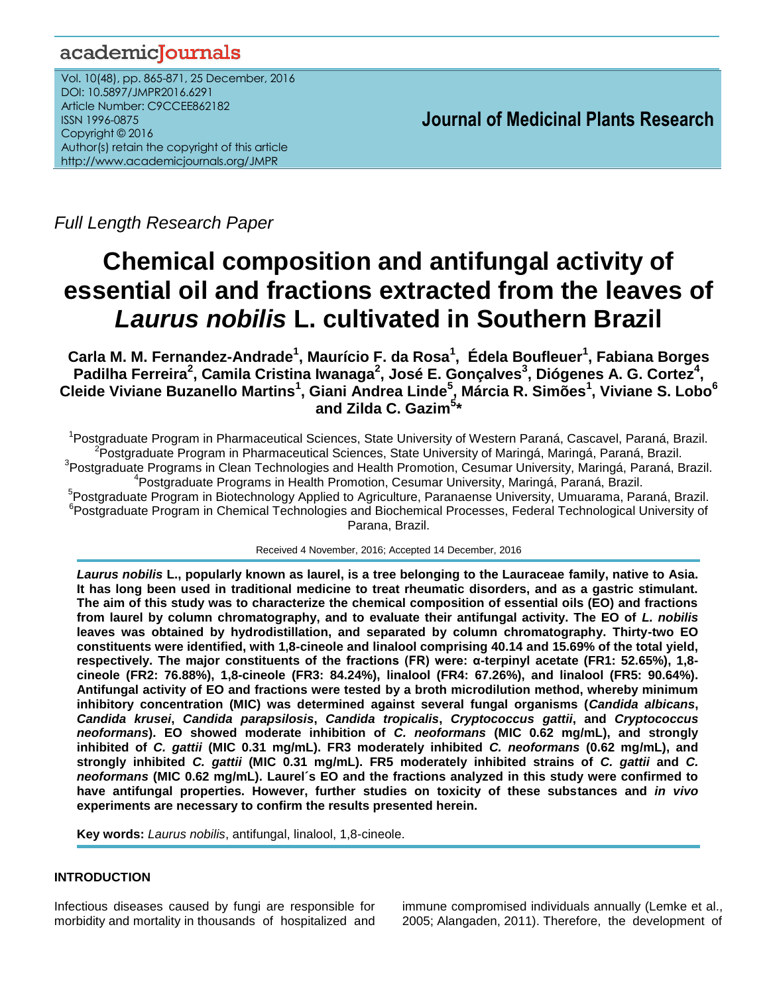# academicJournals

Vol. 10(48), pp. 865-871, 25 December, 2016 DOI: 10.5897/JMPR2016.6291 Article Number: C9CCEE862182 ISSN 1996-0875 Copyright © 2016 Author(s) retain the copyright of this article http://www.academicjournals.org/JMPR

 **Journal of Medicinal Plants Research**

*Full Length Research Paper*

# **Chemical composition and antifungal activity of essential oil and fractions extracted from the leaves of**  *Laurus nobilis* **L. cultivated in Southern Brazil**

**Carla M. M. Fernandez-Andrade<sup>1</sup> , Maurício F. da Rosa<sup>1</sup> , Édela Boufleuer<sup>1</sup> , Fabiana Borges Padilha Ferreira<sup>2</sup> , Camila Cristina Iwanaga<sup>2</sup> , José E. Gonçalves<sup>3</sup> , Diógenes A. G. Cortez<sup>4</sup> , Cleide Viviane Buzanello Martins<sup>1</sup> , Giani Andrea Linde<sup>5</sup> , Márcia R. Simões<sup>1</sup> , Viviane S. Lobo<sup>6</sup> and Zilda C. Gazim<sup>5</sup> \***

<sup>1</sup>Postgraduate Program in Pharmaceutical Sciences, State University of Western Paraná, Cascavel, Paraná, Brazil. <sup>2</sup> Postgraduate Program in Pharmaceutical Sciences, State University of Maringá, Maringá, Paraná, Brazil. <sup>3</sup>Postgraduate Programs in Clean Technologies and Health Promotion, Cesumar University, Maringá, Paraná, Brazil. 4 Postgraduate Programs in Health Promotion, Cesumar University, Maringá, Paraná, Brazil. 5 Postgraduate Program in Biotechnology Applied to Agriculture, Paranaense University, Umuarama, Paraná, Brazil. <sup>6</sup> Postgraduate Program in Chemical Technologies and Biochemical Processes, Federal Technological University of Parana, Brazil.

Received 4 November, 2016; Accepted 14 December, 2016

*Laurus nobilis* **L., popularly known as laurel, is a tree belonging to the Lauraceae family, native to Asia. It has long been used in traditional medicine to treat rheumatic disorders, and as a gastric stimulant. The aim of this study was to characterize the chemical composition of essential oils (EO) and fractions from laurel by column chromatography, and to evaluate their antifungal activity. The EO of** *L. nobilis*  **leaves was obtained by hydrodistillation, and separated by column chromatography. Thirty-two EO constituents were identified, with 1,8-cineole and linalool comprising 40.14 and 15.69% of the total yield, respectively. The major constituents of the fractions (FR) were: α-terpinyl acetate (FR1: 52.65%), 1,8 cineole (FR2: 76.88%), 1,8-cineole (FR3: 84.24%), linalool (FR4: 67.26%), and linalool (FR5: 90.64%). Antifungal activity of EO and fractions were tested by a broth microdilution method, whereby minimum inhibitory concentration (MIC) was determined against several fungal organisms (***Candida albicans***,**  *Candida krusei***,** *Candida parapsilosis***,** *Candida tropicalis***,** *Cryptococcus gattii***, and** *Cryptococcus neoformans***). EO showed moderate inhibition of** *C. neoformans* **(MIC 0.62 mg/mL), and strongly inhibited of** *C. gattii* **(MIC 0.31 mg/mL). FR3 moderately inhibited** *C. neoformans* **(0.62 mg/mL), and strongly inhibited** *C. gattii* **(MIC 0.31 mg/mL). FR5 moderately inhibited strains of** *C. gattii* **and** *C. neoformans* **(MIC 0.62 mg/mL). Laurel´s EO and the fractions analyzed in this study were confirmed to have antifungal properties. However, further studies on toxicity of these substances and** *in vivo* **experiments are necessary to confirm the results presented herein.**

**Key words:** *Laurus nobilis*, antifungal, linalool, 1,8-cineole.

# **INTRODUCTION**

Infectious diseases caused by fungi are responsible for morbidity and mortality in thousands of hospitalized and immune compromised individuals annually (Lemke et al., 2005; Alangaden, 2011). Therefore, the development of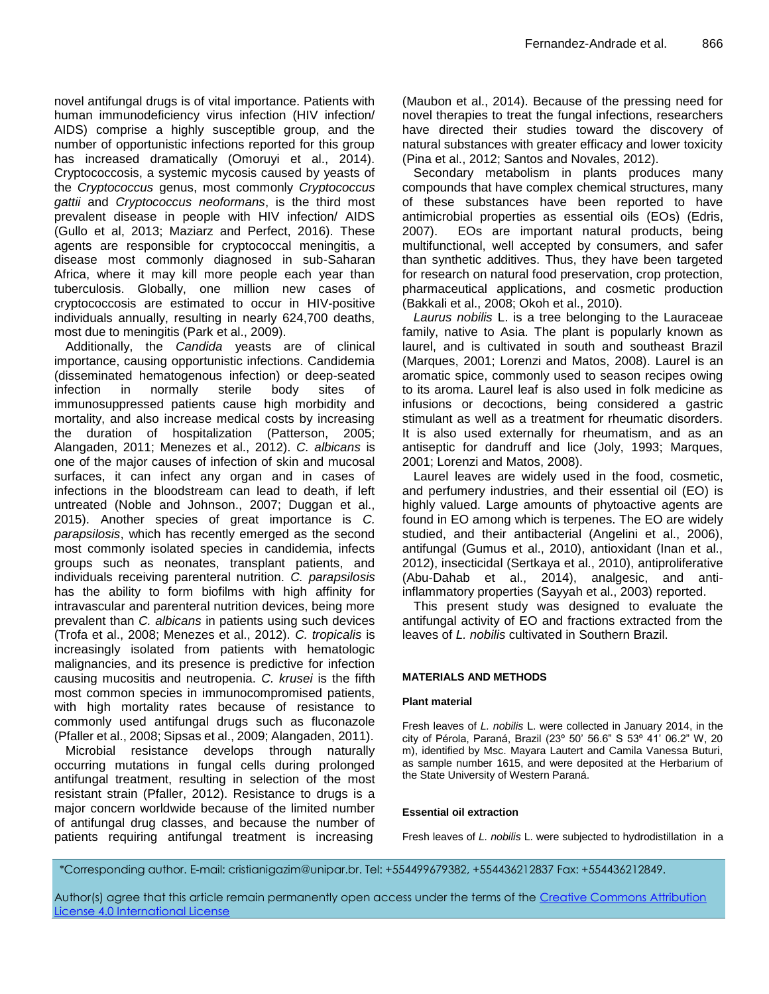novel antifungal drugs is of vital importance. Patients with human immunodeficiency virus infection (HIV infection/ AIDS) comprise a highly susceptible group, and the number of opportunistic infections reported for this group has increased dramatically (Omoruyi et al., 2014). Cryptococcosis, a systemic mycosis caused by yeasts of the *Cryptococcus* genus, most commonly *Cryptococcus gattii* and *Cryptococcus neoformans*, is the third most prevalent disease in people with HIV infection/ AIDS (Gullo et al, 2013; Maziarz and Perfect, 2016). These agents are responsible for cryptococcal meningitis, a disease most commonly diagnosed in sub-Saharan Africa, where it may kill more people each year than tuberculosis. Globally, one million new cases of cryptococcosis are estimated to occur in HIV-positive individuals annually, resulting in nearly 624,700 deaths, most due to meningitis (Park et al., 2009).

Additionally, the *Candida* yeasts are of clinical importance, causing opportunistic infections. Candidemia (disseminated hematogenous infection) or deep-seated infection in normally sterile body sites of immunosuppressed patients cause high morbidity and mortality, and also increase medical costs by increasing the duration of hospitalization (Patterson, 2005; Alangaden, 2011; Menezes et al., 2012). *C. albicans* is one of the major causes of infection of skin and mucosal surfaces, it can infect any organ and in cases of infections in the bloodstream can lead to death, if left untreated (Noble and Johnson., 2007; Duggan et al., 2015). Another species of great importance is *C. parapsilosis*, which has recently emerged as the second most commonly isolated species in candidemia, infects groups such as neonates, transplant patients, and individuals receiving parenteral nutrition. *C. parapsilosis*  has the ability to form biofilms with high affinity for intravascular and parenteral nutrition devices, being more prevalent than *C. albicans* in patients using such devices (Trofa et al., 2008; Menezes et al., 2012). *C. tropicalis* is increasingly isolated from patients with hematologic malignancies, and its presence is predictive for infection causing mucositis and neutropenia. *C. krusei* is the fifth most common species in immunocompromised patients, with high mortality rates because of resistance to commonly used antifungal drugs such as fluconazole (Pfaller et al., 2008; Sipsas et al., 2009; Alangaden, 2011).

Microbial resistance develops through naturally occurring mutations in fungal cells during prolonged antifungal treatment, resulting in selection of the most resistant strain (Pfaller, 2012). Resistance to drugs is a major concern worldwide because of the limited number of antifungal drug classes, and because the number of patients requiring antifungal treatment is increasing (Maubon et al., 2014). Because of the pressing need for novel therapies to treat the fungal infections, researchers have directed their studies toward the discovery of natural substances with greater efficacy and lower toxicity (Pina et al., 2012; Santos and Novales, 2012).

Secondary metabolism in plants produces many compounds that have complex chemical structures, many of these substances have been reported to have antimicrobial properties as essential oils (EOs) (Edris, 2007). EOs are important natural products, being multifunctional, well accepted by consumers, and safer than synthetic additives. Thus, they have been targeted for research on natural food preservation, crop protection, pharmaceutical applications, and cosmetic production (Bakkali et al., 2008; Okoh et al., 2010).

*Laurus nobilis* L. is a tree belonging to the Lauraceae family, native to Asia. The plant is popularly known as laurel, and is cultivated in south and southeast Brazil (Marques, 2001; Lorenzi and Matos, 2008). Laurel is an aromatic spice, commonly used to season recipes owing to its aroma. Laurel leaf is also used in folk medicine as infusions or decoctions, being considered a gastric stimulant as well as a treatment for rheumatic disorders. It is also used externally for rheumatism, and as an antiseptic for dandruff and lice (Joly, 1993; Marques, 2001; Lorenzi and Matos, 2008).

Laurel leaves are widely used in the food, cosmetic, and perfumery industries, and their essential oil (EO) is highly valued. Large amounts of phytoactive agents are found in EO among which is terpenes. The EO are widely studied, and their antibacterial (Angelini et al., 2006), antifungal (Gumus et al., 2010), antioxidant (Inan et al., 2012), insecticidal (Sertkaya et al., 2010), antiproliferative (Abu-Dahab et al., 2014), analgesic, and antiinflammatory properties (Sayyah et al., 2003) reported.

This present study was designed to evaluate the antifungal activity of EO and fractions extracted from the leaves of *L. nobilis* cultivated in Southern Brazil.

# **MATERIALS AND METHODS**

# **Plant material**

Fresh leaves of *L. nobilis* L. were collected in January 2014, in the city of Pérola, Paraná, Brazil (23º 50' 56.6" S 53º 41' 06.2" W, 20 m), identified by Msc. Mayara Lautert and Camila Vanessa Buturi, as sample number 1615, and were deposited at the Herbarium of the State University of Western Paraná.

# **Essential oil extraction**

Fresh leaves of *L. nobilis* L. were subjected to hydrodistillation in a

*\**Corresponding author. E-mail: cristianigazim@unipar.br. Tel: +554499679382, +554436212837 Fax: +554436212849.

Author(s) agree that this article remain permanently open access under the terms of the [Creative Commons Attribution](http://creativecommons.org/licenses/by/4.0/deed.en_US) [License 4.0 International License](http://creativecommons.org/licenses/by/4.0/deed.en_US)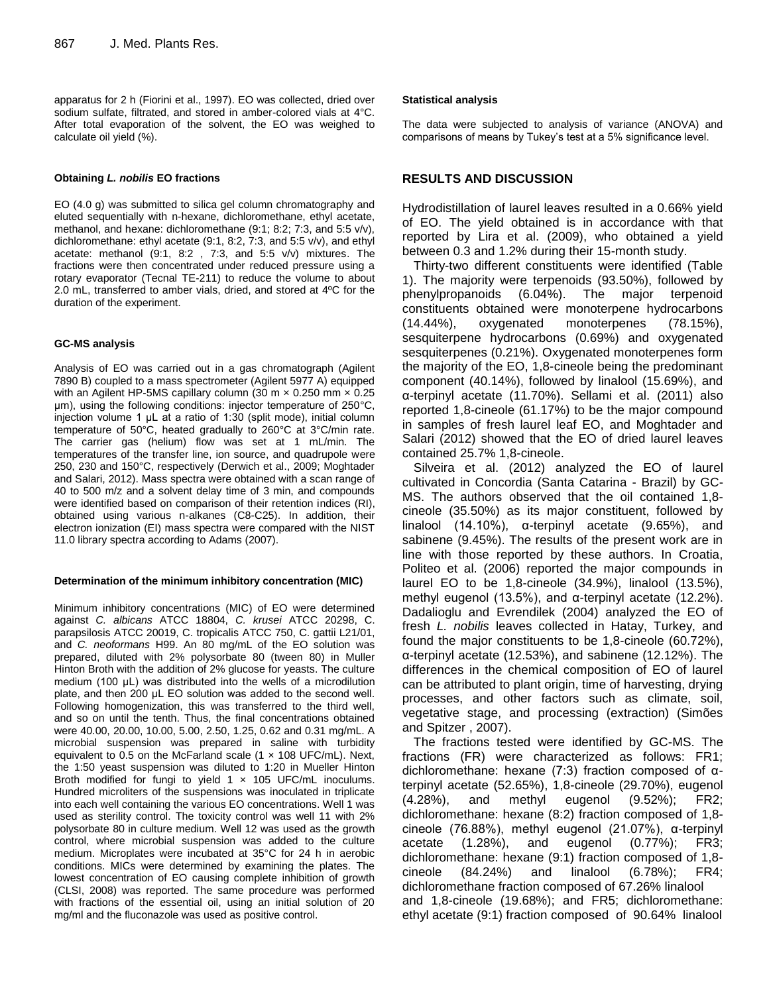apparatus for 2 h (Fiorini et al., 1997). EO was collected, dried over sodium sulfate, filtrated, and stored in amber-colored vials at 4°C. After total evaporation of the solvent, the EO was weighed to calculate oil yield (%).

#### **Obtaining** *L. nobilis* **EO fractions**

EO (4.0 g) was submitted to silica gel column chromatography and eluted sequentially with n-hexane, dichloromethane, ethyl acetate, methanol, and hexane: dichloromethane (9:1; 8:2; 7:3, and 5:5 v/v), dichloromethane: ethyl acetate (9:1, 8:2, 7:3, and 5:5 v/v), and ethyl acetate: methanol (9:1, 8:2 , 7:3, and 5:5 v/v) mixtures. The fractions were then concentrated under reduced pressure using a rotary evaporator (Tecnal TE-211) to reduce the volume to about 2.0 mL, transferred to amber vials, dried, and stored at 4ºC for the duration of the experiment.

#### **GC-MS analysis**

Analysis of EO was carried out in a gas chromatograph (Agilent 7890 B) coupled to a mass spectrometer (Agilent 5977 A) equipped with an Agilent HP-5MS capillary column (30 m  $\times$  0.250 mm  $\times$  0.25 μm), using the following conditions: injector temperature of 250°C, injection volume 1 μL at a ratio of 1:30 (split mode), initial column temperature of 50°C, heated gradually to 260°C at 3°C/min rate. The carrier gas (helium) flow was set at 1 mL/min. The temperatures of the transfer line, ion source, and quadrupole were 250, 230 and 150°C, respectively (Derwich et al., 2009; Moghtader and Salari, 2012). Mass spectra were obtained with a scan range of 40 to 500 m/z and a solvent delay time of 3 min, and compounds were identified based on comparison of their retention indices (RI), obtained using various n-alkanes (C8-C25). In addition, their electron ionization (EI) mass spectra were compared with the NIST 11.0 library spectra according to Adams (2007).

#### **Determination of the minimum inhibitory concentration (MIC)**

Minimum inhibitory concentrations (MIC) of EO were determined against *C. albicans* ATCC 18804, *C. krusei* ATCC 20298, C. parapsilosis ATCC 20019, C. tropicalis ATCC 750, C. gattii L21/01, and *C. neoformans* H99. An 80 mg/mL of the EO solution was prepared, diluted with 2% polysorbate 80 (tween 80) in Muller Hinton Broth with the addition of 2% glucose for yeasts. The culture medium (100 μL) was distributed into the wells of a microdilution plate, and then 200 μL EO solution was added to the second well. Following homogenization, this was transferred to the third well, and so on until the tenth. Thus, the final concentrations obtained were 40.00, 20.00, 10.00, 5.00, 2.50, 1.25, 0.62 and 0.31 mg/mL. A microbial suspension was prepared in saline with turbidity equivalent to 0.5 on the McFarland scale  $(1 \times 108 \text{ UFC/mL})$ . Next, the 1:50 yeast suspension was diluted to 1:20 in Mueller Hinton Broth modified for fungi to yield 1 x 105 UFC/mL inoculums. Hundred microliters of the suspensions was inoculated in triplicate into each well containing the various EO concentrations. Well 1 was used as sterility control. The toxicity control was well 11 with 2% polysorbate 80 in culture medium. Well 12 was used as the growth control, where microbial suspension was added to the culture medium. Microplates were incubated at 35°C for 24 h in aerobic conditions. MICs were determined by examining the plates. The lowest concentration of EO causing complete inhibition of growth (CLSI, 2008) was reported. The same procedure was performed with fractions of the essential oil, using an initial solution of 20 mg/ml and the fluconazole was used as positive control.

#### **Statistical analysis**

The data were subjected to analysis of variance (ANOVA) and comparisons of means by Tukey's test at a 5% significance level.

# **RESULTS AND DISCUSSION**

Hydrodistillation of laurel leaves resulted in a 0.66% yield of EO. The yield obtained is in accordance with that reported by Lira et al. (2009), who obtained a yield between 0.3 and 1.2% during their 15-month study.

Thirty-two different constituents were identified (Table 1). The majority were terpenoids (93.50%), followed by phenylpropanoids (6.04%). The major terpenoid constituents obtained were monoterpene hydrocarbons (14.44%), oxygenated monoterpenes (78.15%), sesquiterpene hydrocarbons (0.69%) and oxygenated sesquiterpenes (0.21%). Oxygenated monoterpenes form the majority of the EO, 1,8-cineole being the predominant component (40.14%), followed by linalool (15.69%), and α-terpinyl acetate (11.70%). Sellami et al. (2011) also reported 1,8-cineole (61.17%) to be the major compound in samples of fresh laurel leaf EO, and Moghtader and Salari (2012) showed that the EO of dried laurel leaves contained 25.7% 1,8-cineole.

Silveira et al. (2012) analyzed the EO of laurel cultivated in Concordia (Santa Catarina - Brazil) by GC-MS. The authors observed that the oil contained 1,8 cineole (35.50%) as its major constituent, followed by linalool  $(14.10\%)$ ,  $\alpha$ -terpinyl acetate  $(9.65\%)$ , and sabinene (9.45%). The results of the present work are in line with those reported by these authors. In Croatia, Politeo et al. (2006) reported the major compounds in laurel EO to be 1,8-cineole (34.9%), linalool (13.5%), methyl eugenol (13.5%), and α-terpinyl acetate (12.2%). Dadalioglu and Evrendilek (2004) analyzed the EO of fresh *L. nobilis* leaves collected in Hatay, Turkey, and found the major constituents to be 1,8-cineole (60.72%), α-terpinyl acetate (12.53%), and sabinene (12.12%). The differences in the chemical composition of EO of laurel can be attributed to plant origin, time of harvesting, drying processes, and other factors such as climate, soil, vegetative stage, and processing (extraction) (Simões and Spitzer , 2007).

The fractions tested were identified by GC-MS. The fractions (FR) were characterized as follows: FR1; dichloromethane: hexane (7:3) fraction composed of αterpinyl acetate (52.65%), 1,8-cineole (29.70%), eugenol (4.28%), and methyl eugenol (9.52%); FR2; dichloromethane: hexane (8:2) fraction composed of 1,8 cineole (76.88%), methyl eugenol (21.07%), α-terpinyl acetate (1.28%), and eugenol (0.77%); FR3; dichloromethane: hexane (9:1) fraction composed of 1,8 cineole (84.24%) and linalool (6.78%); FR4; dichloromethane fraction composed of 67.26% linalool and 1,8-cineole (19.68%); and FR5; dichloromethane: ethyl acetate (9:1) fraction composed of 90.64% linalool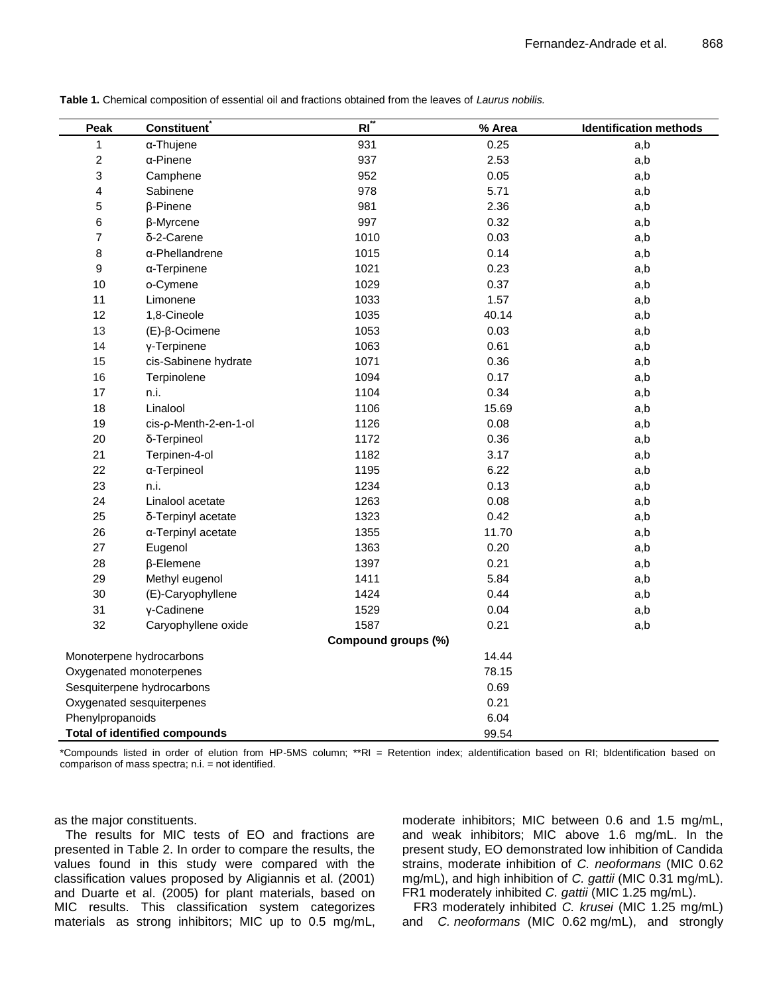| Peak                      | <b>Constituent</b>                   | $RI^{\dagger}$      | % Area | <b>Identification methods</b> |  |
|---------------------------|--------------------------------------|---------------------|--------|-------------------------------|--|
| 1                         | α-Thujene                            | 931                 | 0.25   | a,b                           |  |
| $\overline{\mathbf{c}}$   | α-Pinene                             | 937                 | 2.53   | a,b                           |  |
| 3                         | Camphene                             | 952                 | 0.05   | a,b                           |  |
| 4                         | Sabinene                             | 978                 | 5.71   | a,b                           |  |
| 5                         | β-Pinene                             | 981                 | 2.36   | a,b                           |  |
| 6                         | β-Myrcene                            | 997                 | 0.32   | a,b                           |  |
| $\overline{7}$            | δ-2-Carene                           | 1010                | 0.03   | a,b                           |  |
| $\bf8$                    | α-Phellandrene                       | 1015                | 0.14   | a,b                           |  |
| $\boldsymbol{9}$          | $\alpha$ -Terpinene                  | 1021                | 0.23   | a,b                           |  |
| 10                        | o-Cymene                             | 1029                | 0.37   | a,b                           |  |
| 11                        | Limonene                             | 1033                | 1.57   | a,b                           |  |
| 12                        | 1,8-Cineole                          | 1035                | 40.14  | a,b                           |  |
| 13                        | $(E)-\beta$ -Ocimene                 | 1053                | 0.03   | a,b                           |  |
| 14                        | γ-Terpinene                          | 1063                | 0.61   | a,b                           |  |
| 15                        | cis-Sabinene hydrate                 | 1071                | 0.36   | a,b                           |  |
| 16                        | Terpinolene                          | 1094                | 0.17   | a,b                           |  |
| 17                        | n.i.                                 | 1104                | 0.34   | a,b                           |  |
| 18                        | Linalool                             | 1106                | 15.69  | a,b                           |  |
| 19                        | cis-p-Menth-2-en-1-ol                | 1126                | 0.08   | a,b                           |  |
| 20                        | δ-Terpineol                          | 1172                | 0.36   | a,b                           |  |
| 21                        | Terpinen-4-ol                        | 1182                | 3.17   | a,b                           |  |
| 22                        | α-Terpineol                          | 1195                | 6.22   | a,b                           |  |
| 23                        | n.i.                                 | 1234                | 0.13   | a,b                           |  |
| 24                        | Linalool acetate                     | 1263                | 0.08   | a,b                           |  |
| 25                        | δ-Terpinyl acetate                   | 1323                | 0.42   | a,b                           |  |
| 26                        | α-Terpinyl acetate                   | 1355                | 11.70  | a,b                           |  |
| 27                        | Eugenol                              | 1363                | 0.20   | a,b                           |  |
| 28                        | β-Elemene                            | 1397                | 0.21   | a,b                           |  |
| 29                        | Methyl eugenol                       | 1411                | 5.84   | a,b                           |  |
| 30                        | (E)-Caryophyllene                    | 1424                | 0.44   | a,b                           |  |
| 31                        | y-Cadinene                           | 1529                | 0.04   | a,b                           |  |
| 32                        | Caryophyllene oxide                  | 1587                | 0.21   | a,b                           |  |
|                           |                                      | Compound groups (%) |        |                               |  |
| Monoterpene hydrocarbons  |                                      |                     | 14.44  |                               |  |
| Oxygenated monoterpenes   |                                      |                     | 78.15  |                               |  |
|                           | Sesquiterpene hydrocarbons           | 0.69                |        |                               |  |
| Oxygenated sesquiterpenes |                                      |                     | 0.21   |                               |  |
| Phenylpropanoids          |                                      |                     | 6.04   |                               |  |
|                           | <b>Total of identified compounds</b> |                     | 99.54  |                               |  |

**Table 1.** Chemical composition of essential oil and fractions obtained from the leaves of *Laurus nobilis.*

\*Compounds listed in order of elution from HP-5MS column; \*\*RI = Retention index; aIdentification based on RI; bIdentification based on comparison of mass spectra; n.i. = not identified.

as the major constituents.

The results for MIC tests of EO and fractions are presented in Table 2. In order to compare the results, the values found in this study were compared with the classification values proposed by Aligiannis et al. (2001) and Duarte et al. (2005) for plant materials, based on MIC results. This classification system categorizes materials as strong inhibitors; MIC up to 0.5 mg/mL, moderate inhibitors; MIC between 0.6 and 1.5 mg/mL, and weak inhibitors; MIC above 1.6 mg/mL. In the present study, EO demonstrated low inhibition of Candida strains, moderate inhibition of *C. neoformans* (MIC 0.62 mg/mL), and high inhibition of *C. gattii* (MIC 0.31 mg/mL). FR1 moderately inhibited *C. gattii* (MIC 1.25 mg/mL).

FR3 moderately inhibited *C. krusei* (MIC 1.25 mg/mL) and *C. neoformans* (MIC 0.62 mg/mL), and strongly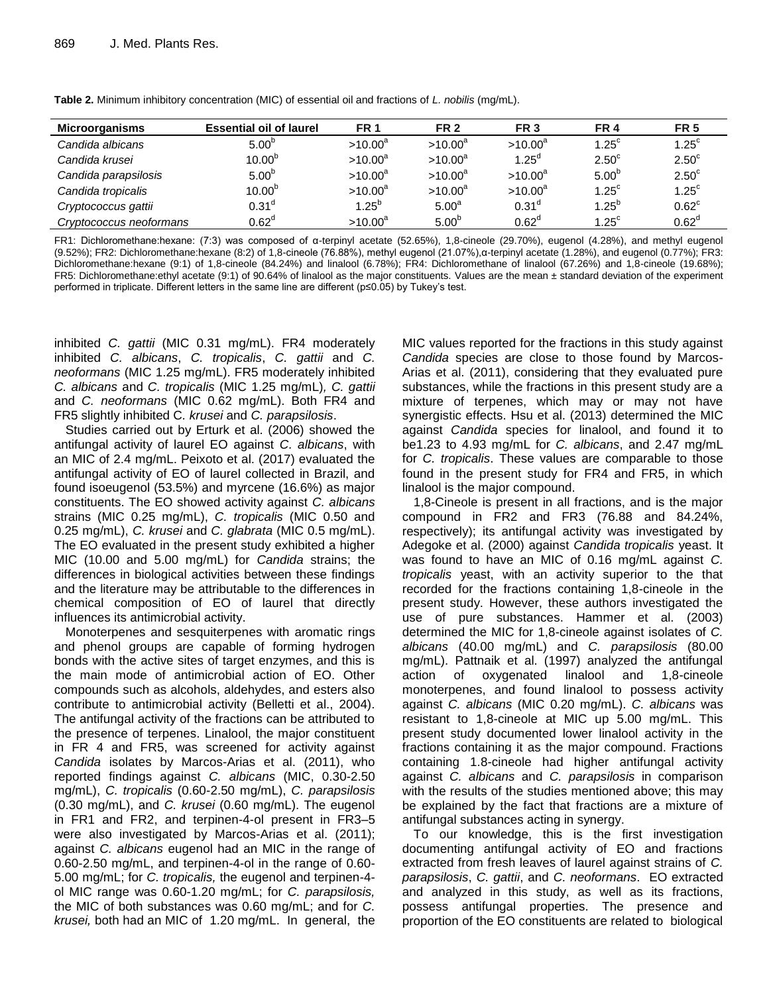| Microorganisms          | <b>Essential oil of laurel</b> | <b>FR 1</b> | <b>FR 2</b>       | FR <sub>3</sub>   | <b>FR4</b>     | <b>FR 5</b>       |
|-------------------------|--------------------------------|-------------|-------------------|-------------------|----------------|-------------------|
| Candida albicans        | $5.00^{6}$                     | $>10.00^a$  | $>10.00^a$        | $>10.00^a$        | $1.25^{\circ}$ | $1.25^{\circ}$    |
| Candida krusei          | $10.00^{b}$                    | $>10.00^a$  | $>10.00^a$        | $1.25^d$          | $2.50^{\circ}$ | $2.50^{\circ}$    |
| Candida parapsilosis    | 5.00 <sup>b</sup>              | $>10.00^a$  | $>10.00^a$        | $>10.00^a$        | $5.00^{6}$     | $2.50^{\circ}$    |
| Candida tropicalis      | $10.00^{b}$                    | $>10.00^a$  | $>10.00^a$        | $>10.00^a$        | $1.25^{\circ}$ | $1.25^{\circ}$    |
| Cryptococcus gattii     | 0.31 <sup>d</sup>              | $1.25^{b}$  | $5.00^a$          | 0.31 <sup>d</sup> | $1.25^{b}$     | $0.62^{\circ}$    |
| Cryptococcus neoformans | $0.62^d$                       | $>10.00^a$  | 5.00 <sup>b</sup> | 0.62 <sup>d</sup> | $1.25^{\circ}$ | 0.62 <sup>d</sup> |

**Table 2.** Minimum inhibitory concentration (MIC) of essential oil and fractions of *L. nobilis* (mg/mL).

FR1: Dichloromethane:hexane: (7:3) was composed of α-terpinyl acetate (52.65%), 1,8-cineole (29.70%), eugenol (4.28%), and methyl eugenol (9.52%); FR2: Dichloromethane:hexane (8:2) of 1,8-cineole (76.88%), methyl eugenol (21.07%),α-terpinyl acetate (1.28%), and eugenol (0.77%); FR3: Dichloromethane:hexane (9:1) of 1,8-cineole (84.24%) and linalool (6.78%); FR4: Dichloromethane of linalool (67.26%) and 1,8-cineole (19.68%); FR5: Dichloromethane:ethyl acetate (9:1) of 90.64% of linalool as the major constituents. Values are the mean ± standard deviation of the experiment performed in triplicate. Different letters in the same line are different (p≤0.05) by Tukey's test.

inhibited *C. gattii* (MIC 0.31 mg/mL). FR4 moderately inhibited *C. albicans*, *C. tropicalis*, *C. gattii* and *C. neoformans* (MIC 1.25 mg/mL). FR5 moderately inhibited *C. albicans* and *C. tropicalis* (MIC 1.25 mg/mL)*, C. gattii*  and *C. neoformans* (MIC 0.62 mg/mL). Both FR4 and FR5 slightly inhibited C*. krusei* and *C. parapsilosis*.

Studies carried out by Erturk et al. (2006) showed the antifungal activity of laurel EO against *C. albicans*, with an MIC of 2.4 mg/mL. Peixoto et al. (2017) evaluated the antifungal activity of EO of laurel collected in Brazil, and found isoeugenol (53.5%) and myrcene (16.6%) as major constituents. The EO showed activity against *C. albicans* strains (MIC 0.25 mg/mL), *C. tropicalis* (MIC 0.50 and 0.25 mg/mL), *C. krusei* and *C. glabrata* (MIC 0.5 mg/mL). The EO evaluated in the present study exhibited a higher MIC (10.00 and 5.00 mg/mL) for *Candida* strains; the differences in biological activities between these findings and the literature may be attributable to the differences in chemical composition of EO of laurel that directly influences its antimicrobial activity.

Monoterpenes and sesquiterpenes with aromatic rings and phenol groups are capable of forming hydrogen bonds with the active sites of target enzymes, and this is the main mode of antimicrobial action of EO. Other compounds such as alcohols, aldehydes, and esters also contribute to antimicrobial activity (Belletti et al., 2004). The antifungal activity of the fractions can be attributed to the presence of terpenes. Linalool, the major constituent in FR 4 and FR5, was screened for activity against *Candida* isolates by Marcos-Arias et al. (2011), who reported findings against *C. albicans* (MIC, 0.30-2.50 mg/mL), *C. tropicalis* (0.60-2.50 mg/mL), *C. parapsilosis* (0.30 mg/mL), and *C. krusei* (0.60 mg/mL). The eugenol in FR1 and FR2, and terpinen-4-ol present in FR3–5 were also investigated by Marcos-Arias et al. (2011); against *C. albicans* eugenol had an MIC in the range of 0.60-2.50 mg/mL, and terpinen-4-ol in the range of 0.60- 5.00 mg/mL; for *C. tropicalis,* the eugenol and terpinen-4 ol MIC range was 0.60-1.20 mg/mL; for *C. parapsilosis,* the MIC of both substances was 0.60 mg/mL; and for *C. krusei,* both had an MIC of 1.20 mg/mL. In general, the

MIC values reported for the fractions in this study against *Candida* species are close to those found by Marcos-Arias et al. (2011), considering that they evaluated pure substances, while the fractions in this present study are a mixture of terpenes, which may or may not have synergistic effects. Hsu et al. (2013) determined the MIC against *Candida* species for linalool, and found it to be1.23 to 4.93 mg/mL for *C. albicans*, and 2.47 mg/mL for *C. tropicalis*. These values are comparable to those found in the present study for FR4 and FR5, in which linalool is the major compound.

1,8-Cineole is present in all fractions, and is the major compound in FR2 and FR3 (76.88 and 84.24%, respectively); its antifungal activity was investigated by Adegoke et al. (2000) against *Candida tropicalis* yeast. It was found to have an MIC of 0.16 mg/mL against *C. tropicalis* yeast, with an activity superior to the that recorded for the fractions containing 1,8-cineole in the present study. However, these authors investigated the use of pure substances. Hammer et al. (2003) determined the MIC for 1,8-cineole against isolates of *C. albicans* (40.00 mg/mL) and *C. parapsilosis* (80.00 mg/mL). Pattnaik et al. (1997) analyzed the antifungal action of oxygenated linalool and 1,8-cineole monoterpenes, and found linalool to possess activity against *C. albicans* (MIC 0.20 mg/mL). *C. albicans* was resistant to 1,8-cineole at MIC up 5.00 mg/mL. This present study documented lower linalool activity in the fractions containing it as the major compound. Fractions containing 1.8-cineole had higher antifungal activity against *C. albicans* and *C. parapsilosis* in comparison with the results of the studies mentioned above; this may be explained by the fact that fractions are a mixture of antifungal substances acting in synergy.

To our knowledge, this is the first investigation documenting antifungal activity of EO and fractions extracted from fresh leaves of laurel against strains of *C. parapsilosis*, *C. gattii*, and *C. neoformans*. EO extracted and analyzed in this study, as well as its fractions, possess antifungal properties. The presence and proportion of the EO constituents are related to biological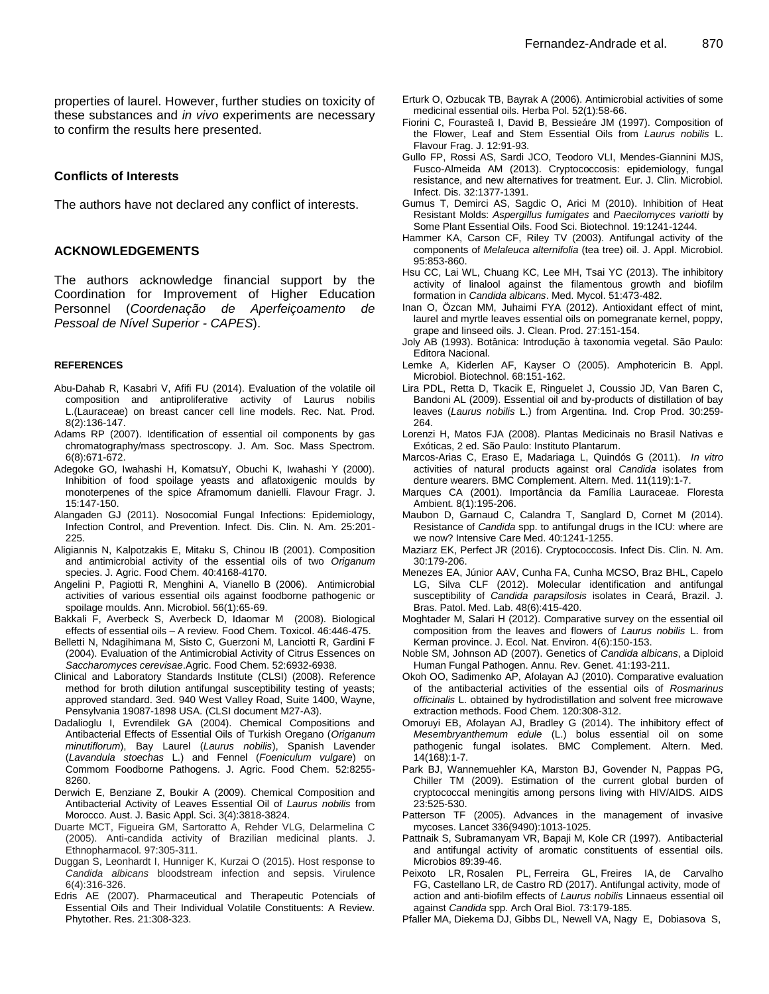properties of laurel. However, further studies on toxicity of these substances and *in vivo* experiments are necessary to confirm the results here presented.

#### **Conflicts of Interests**

The authors have not declared any conflict of interests.

#### **ACKNOWLEDGEMENTS**

The authors acknowledge financial support by the Coordination for Improvement of Higher Education Personnel (*Coordenação de Aperfeiçoamento de Pessoal de Nível Superior - CAPES*).

#### **REFERENCES**

- Abu-Dahab R, Kasabri V, Afifi FU (2014). Evaluation of the volatile oil composition and antiproliferative activity of Laurus nobilis L.(Lauraceae) on breast cancer cell line models. Rec. Nat. Prod. 8(2):136-147.
- Adams RP (2007). Identification of essential oil components by gas chromatography/mass spectroscopy. J. Am. Soc. Mass Spectrom. 6(8):671-672.
- Adegoke GO, Iwahashi H, KomatsuY, Obuchi K, Iwahashi Y (2000). Inhibition of food spoilage yeasts and aflatoxigenic moulds by monoterpenes of the spice Aframomum danielli. Flavour Fragr. J. 15:147-150.
- Alangaden GJ (2011). Nosocomial Fungal Infections: Epidemiology, Infection Control, and Prevention. Infect. Dis. Clin. N. Am. 25:201- 225.
- Aligiannis N, Kalpotzakis E, Mitaku S, Chinou IB (2001). Composition and antimicrobial activity of the essential oils of two *Origanum* species. J. Agric. Food Chem. 40:4168-4170.
- Angelini P, Pagiotti R, Menghini A, Vianello B (2006). Antimicrobial activities of various essential oils against foodborne pathogenic or spoilage moulds. Ann. Microbiol. 56(1):65-69.
- Bakkali F, Averbeck S, Averbeck D, Idaomar M (2008). Biological effects of essential oils – A review. Food Chem. Toxicol. 46:446-475.
- Belletti N, Ndagihimana M, Sisto C, Guerzoni M, Lanciotti R, Gardini F (2004). Evaluation of the Antimicrobial Activity of Citrus Essences on *Saccharomyces cerevisae*.Agric. Food Chem. 52:6932-6938.
- Clinical and Laboratory Standards Institute (CLSI) (2008). Reference method for broth dilution antifungal susceptibility testing of yeasts; approved standard. 3ed. 940 West Valley Road, Suite 1400, Wayne, Pensylvania 19087-1898 USA. (CLSI document M27-A3).
- Dadalioglu I, Evrendilek GA (2004). Chemical Compositions and Antibacterial Effects of Essential Oils of Turkish Oregano (*Origanum minutiflorum*), Bay Laurel (*Laurus nobilis*), Spanish Lavender (*Lavandula stoechas* L.) and Fennel (*Foeniculum vulgare*) on Commom Foodborne Pathogens. J. Agric. Food Chem. 52:8255- 8260.
- Derwich E, Benziane Z, Boukir A (2009). Chemical Composition and Antibacterial Activity of Leaves Essential Oil of *Laurus nobilis* from Morocco. Aust. J. Basic Appl. Sci. 3(4):3818-3824.
- Duarte MCT, Figueira GM, Sartoratto A, Rehder VLG, Delarmelina C (2005). Anti-candida activity of Brazilian medicinal plants. J. Ethnopharmacol. 97:305-311.
- Duggan S, Leonhardt I, Hunniger K, Kurzai O (2015). Host response to *Candida albicans* bloodstream infection and sepsis. Virulence 6(4):316-326.
- Edris AE (2007). Pharmaceutical and Therapeutic Potencials of Essential Oils and Their Individual Volatile Constituents: A Review. Phytother. Res. 21:308-323.
- Erturk O, Ozbucak TB, Bayrak A (2006). Antimicrobial activities of some medicinal essential oils. Herba Pol. 52(1):58-66.
- Fiorini C, Fourasteâ I, David B, Bessieáre JM (1997). Composition of the Flower, Leaf and Stem Essential Oils from *Laurus nobilis* L. Flavour Frag. J. 12:91-93.
- Gullo FP, Rossi AS, Sardi JCO, Teodoro VLI, Mendes-Giannini MJS, Fusco-Almeida AM (2013). Cryptococcosis: epidemiology, fungal resistance, and new alternatives for treatment. Eur. J. Clin. Microbiol. Infect. Dis. 32:1377-1391.
- Gumus T, Demirci AS, Sagdic O, Arici M (2010). Inhibition of Heat Resistant Molds: *Aspergillus fumigates* and *Paecilomyces variotti* by Some Plant Essential Oils. Food Sci. Biotechnol. 19:1241-1244.
- Hammer KA, Carson CF, Riley TV (2003). Antifungal activity of the components of *Melaleuca alternifolia* (tea tree) oil. J. Appl. Microbiol. 95:853-860.
- Hsu CC, Lai WL, Chuang KC, Lee MH, Tsai YC (2013). The inhibitory activity of linalool against the filamentous growth and biofilm formation in *Candida albicans*. Med. Mycol. 51:473-482.
- Inan O, Özcan MM, Juhaimi FYA (2012). Antioxidant effect of mint, laurel and myrtle leaves essential oils on pomegranate kernel, poppy, grape and linseed oils. J. Clean. Prod. 27:151-154.
- Joly AB (1993). Botânica: Introdução à taxonomia vegetal. São Paulo: Editora Nacional.
- Lemke A, Kiderlen AF, Kayser O (2005). Amphotericin B. Appl. Microbiol. Biotechnol. 68:151-162.
- Lira PDL, Retta D, Tkacik E, Ringuelet J, Coussio JD, Van Baren C, Bandoni AL (2009). Essential oil and by-products of distillation of bay leaves (*Laurus nobilis* L.) from Argentina. Ind. Crop Prod. 30:259- 264.
- Lorenzi H, Matos FJA (2008). Plantas Medicinais no Brasil Nativas e Exóticas, 2 ed. São Paulo: Instituto Plantarum.
- Marcos-Arias C, Eraso E, Madariaga L, Quindós G (2011). *In vitro* activities of natural products against oral *Candida* isolates from denture wearers. BMC Complement. Altern. Med. 11(119):1-7.
- Marques CA (2001). Importância da Família Lauraceae. Floresta Ambient. 8(1):195-206.
- Maubon D, Garnaud C, Calandra T, Sanglard D, Cornet M (2014). Resistance of *Candida* spp. to antifungal drugs in the ICU: where are we now? Intensive Care Med. 40:1241-1255.
- Maziarz EK, Perfect JR (2016). Cryptococcosis. Infect Dis. Clin. N. Am. 30:179-206.
- Menezes EA, Júnior AAV, Cunha FA, Cunha MCSO, Braz BHL, Capelo LG, Silva CLF (2012). Molecular identification and antifungal susceptibility of *Candida parapsilosis* isolates in Ceará, Brazil. J. Bras. Patol. Med. Lab. 48(6):415-420.
- Moghtader M, Salari H (2012). Comparative survey on the essential oil composition from the leaves and flowers of *Laurus nobilis* L. from Kerman province. J. Ecol. Nat. Environ. 4(6):150-153.
- Noble SM, Johnson AD (2007). Genetics of *Candida albicans*, a Diploid Human Fungal Pathogen. Annu. Rev. Genet. 41:193-211.
- Okoh OO, Sadimenko AP, Afolayan AJ (2010). Comparative evaluation of the antibacterial activities of the essential oils of *Rosmarinus officinalis* L. obtained by hydrodistillation and solvent free microwave extraction methods. Food Chem. 120:308-312.
- Omoruyi EB, Afolayan AJ, Bradley G (2014). The inhibitory effect of *Mesembryanthemum edule* (L.) bolus essential oil on some pathogenic fungal isolates. BMC Complement. Altern. Med. 14(168):1-7.
- Park BJ, Wannemuehler KA, Marston BJ, Govender N, Pappas PG, Chiller TM (2009). Estimation of the current global burden of cryptococcal meningitis among persons living with HIV/AIDS. AIDS 23:525-530.
- Patterson TF (2005). Advances in the management of invasive mycoses. Lancet 336(9490):1013-1025.
- Pattnaik S, Subramanyam VR, Bapaji M, Kole CR (1997). Antibacterial and antifungal activity of aromatic constituents of essential oils. Microbios 89:39-46.
- [Peixoto LR,](https://www.ncbi.nlm.nih.gov/pubmed/?term=Peixoto%20LR%5BAuthor%5D&cauthor=true&cauthor_uid=27771586) [Rosalen PL,](https://www.ncbi.nlm.nih.gov/pubmed/?term=Rosalen%20PL%5BAuthor%5D&cauthor=true&cauthor_uid=27771586) [Ferreira GL,](https://www.ncbi.nlm.nih.gov/pubmed/?term=Ferreira%20GL%5BAuthor%5D&cauthor=true&cauthor_uid=27771586) [Freires IA,](https://www.ncbi.nlm.nih.gov/pubmed/?term=Freires%20IA%5BAuthor%5D&cauthor=true&cauthor_uid=27771586) [de Carvalho](https://www.ncbi.nlm.nih.gov/pubmed/?term=de%20Carvalho%20FG%5BAuthor%5D&cauthor=true&cauthor_uid=27771586)  [FG,](https://www.ncbi.nlm.nih.gov/pubmed/?term=de%20Carvalho%20FG%5BAuthor%5D&cauthor=true&cauthor_uid=27771586) [Castellano LR,](https://www.ncbi.nlm.nih.gov/pubmed/?term=Castellano%20LR%5BAuthor%5D&cauthor=true&cauthor_uid=27771586) [de Castro RD](https://www.ncbi.nlm.nih.gov/pubmed/?term=de%20Castro%20RD%5BAuthor%5D&cauthor=true&cauthor_uid=27771586) (2017). Antifungal activity, mode of action and anti-biofilm effects of *Laurus nobilis* Linnaeus essential oil against *Candida* spp. Arch Oral Biol. 73:179-185.
- Pfaller MA, Diekema DJ, Gibbs DL, Newell VA, Nagy E, Dobiasova S,